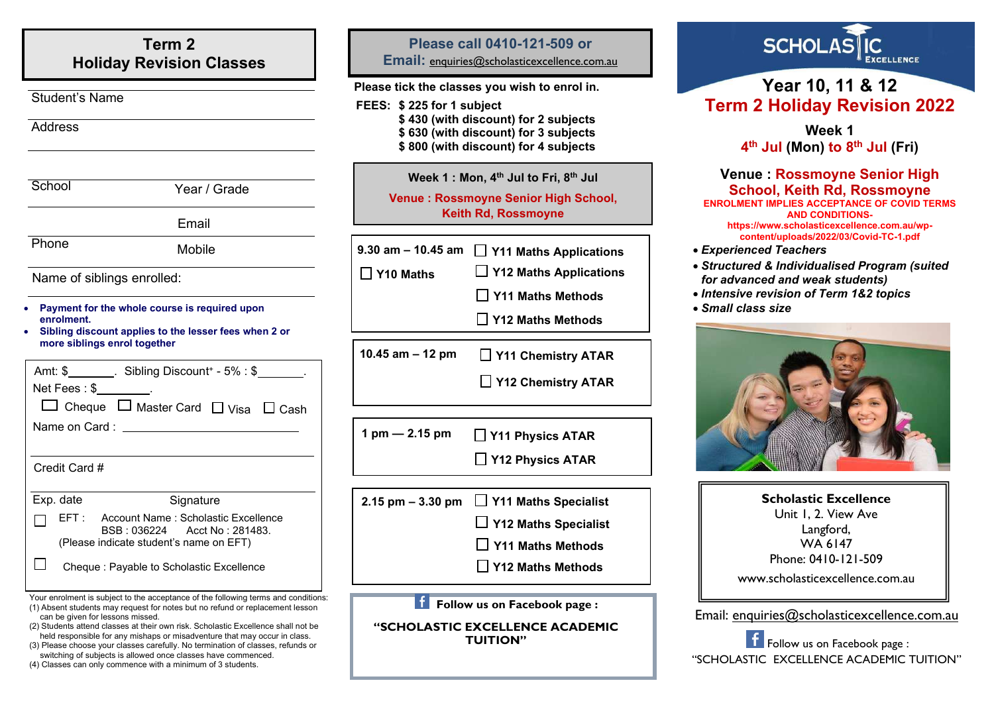## **Term 2 Holiday Revision Classes**

3 - 6

#### Student's Name

#### Address

| School | Year / Grade |
|--------|--------------|
|        | Email        |
| Phone  | Mobile       |

Name of siblings enrolled:

- **Payment for the whole course is required upon enrolment.**
- **Sibling discount applies to the lesser fees when 2 or more siblings enrol together**

|               |               | Amt: \$_________. Sibling Discount + - 5% : \$                           |  |
|---------------|---------------|--------------------------------------------------------------------------|--|
|               |               | $Net \, Fees : $$                                                        |  |
|               |               | $\Box$ Cheque $\Box$ Master Card $\Box$ Visa $\Box$ Cash                 |  |
|               | Name on Card: |                                                                          |  |
|               |               |                                                                          |  |
| Credit Card # |               |                                                                          |  |
|               | Exp. date     | Signature                                                                |  |
|               |               | EFT: Account Name: Scholastic Excellence<br>BSB: 036224 Acct No: 281483. |  |
|               |               | (Please indicate student's name on EFT)                                  |  |

 $\Box$ Cheque : Payable to Scholastic Excellence

- Your enrolment is subject to the acceptance of the following terms and conditions:
- (1) Absent students may request for notes but no refund or replacement lesson can be given for lessons missed.
- (2) Students attend classes at their own risk. Scholastic Excellence shall not be held responsible for any mishaps or misadventure that may occur in class.
- (3) Please choose your classes carefully. No termination of classes, refunds or switching of subjects is allowed once classes have commenced.
- (4) Classes can only commence with a minimum of 3 students.

### **Please call 0410-121-509 or**

**Email:** [enquiries@scholasticexcellence.com.au](mailto:enquiries@scholasticexcellence.com.au)

#### **Please tick the classes you wish to enrol in.**

- **FEES: \$ 225 for 1 subject** 
	- **\$ 430 (with discount) for 2 subjects**
	- **\$ 630 (with discount) for 3 subjects**
	- **\$ 800 (with discount) for 4 subjects**

### **Week 1 : Mon, 4 th Jul to Fri, 8 th Jul Venue : Rossmoyne Senior High School, Keith Rd, Rossmoyne**

| 9.30 am $-$ 10.45 am $\Box$ Y11 Maths Applications |
|----------------------------------------------------|
|                                                    |

**Y10 Maths** 

**Y12 Maths Applications**

**Y11 Maths Methods**

**Y12 Maths Methods**

**10.45 am – 12 pm Y11 Chemistry ATAR**

**Y12 Chemistry ATAR**

**1 pm — 2.15 pm Y11 Physics ATAR**

**Y12 Physics ATAR**

**2.15 pm – 3.30 pm Y11 Maths Specialist**

**Y12 Maths Specialist**

**Y11 Maths Methods**

**Y12 Maths Methods**

**Follow us on Facebook page :** 

**"SCHOLASTIC EXCELLENCE ACADEMIC TUITION"**



# **Year 10, 11 & 12 Term 2 Holiday Revision 2022**

**Week 1 4 th Jul (Mon) to 8 th Jul (Fri)**

#### **Venue : Rossmoyne Senior High School, Keith Rd, Rossmoyne ENROLMENT IMPLIES ACCEPTANCE OF COVID TERMS AND CONDITIONShttps://www.scholasticexcellence.com.au/wpcontent/uploads/2022/03/Covid-TC-1.pdf**

- *Experienced Teachers*
- *Structured & Individualised Program (suited for advanced and weak students)*
- *Intensive revision of Term 1&2 topics*
- *Small class size*



| <b>Scholastic Excellence</b>    |  |  |
|---------------------------------|--|--|
| Unit 1, 2. View Ave             |  |  |
| Langford,                       |  |  |
| WA 6147                         |  |  |
| Phone: 0410-121-509             |  |  |
| www.scholasticexcellence.com.au |  |  |

Email: [enquiries@scholasticexcellence.com.au](mailto:enquiries@scholasticexcellence.com.au)

Follow us on Facebook page : "SCHOLASTIC EXCELLENCE ACADEMIC TUITION"